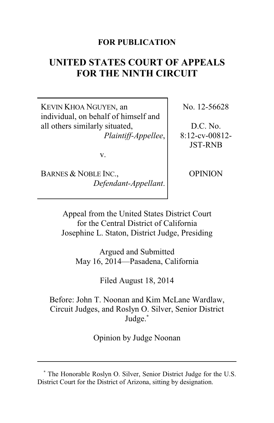# **FOR PUBLICATION**

# **UNITED STATES COURT OF APPEALS FOR THE NINTH CIRCUIT**

KEVIN KHOA NGUYEN, an individual, on behalf of himself and all others similarly situated, *Plaintiff-Appellee*,

v.

BARNES & NOBLE INC., *Defendant-Appellant*. No. 12-56628

D.C. No. 8:12-cv-00812- JST-RNB

**OPINION** 

Appeal from the United States District Court for the Central District of California Josephine L. Staton, District Judge, Presiding

Argued and Submitted May 16, 2014—Pasadena, California

Filed August 18, 2014

Before: John T. Noonan and Kim McLane Wardlaw, Circuit Judges, and Roslyn O. Silver, Senior District Judge.**\***

Opinion by Judge Noonan

**<sup>\*</sup>** The Honorable Roslyn O. Silver, Senior District Judge for the U.S. District Court for the District of Arizona, sitting by designation.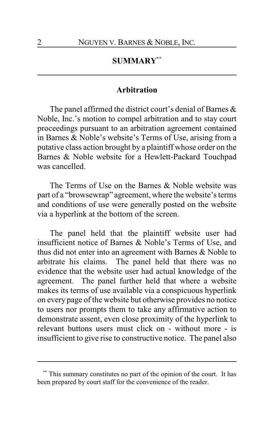# **SUMMARY\*\***

# **Arbitration**

The panel affirmed the district court's denial of Barnes & Noble, Inc.'s motion to compel arbitration and to stay court proceedings pursuant to an arbitration agreement contained in Barnes & Noble's website's Terms of Use, arising from a putative class action brought by a plaintiff whose order on the Barnes & Noble website for a Hewlett-Packard Touchpad was cancelled.

The Terms of Use on the Barnes & Noble website was part of a "browsewrap" agreement, where the website's terms and conditions of use were generally posted on the website via a hyperlink at the bottom of the screen.

The panel held that the plaintiff website user had insufficient notice of Barnes & Noble's Terms of Use, and thus did not enter into an agreement with Barnes & Noble to arbitrate his claims. The panel held that there was no evidence that the website user had actual knowledge of the agreement. The panel further held that where a website makes its terms of use available via a conspicuous hyperlink on every page of the website but otherwise provides no notice to users nor prompts them to take any affirmative action to demonstrate assent, even close proximity of the hyperlink to relevant buttons users must click on - without more - is insufficient to give rise to constructive notice. The panel also

This summary constitutes no part of the opinion of the court. It has been prepared by court staff for the convenience of the reader.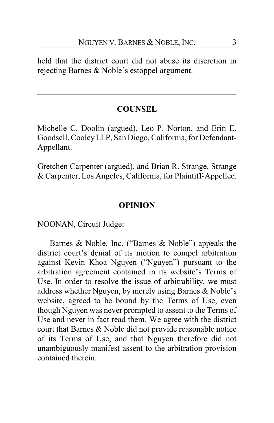held that the district court did not abuse its discretion in rejecting Barnes & Noble's estoppel argument.

# **COUNSEL**

Michelle C. Doolin (argued), Leo P. Norton, and Erin E. Goodsell, CooleyLLP, San Diego, California, for Defendant-Appellant.

Gretchen Carpenter (argued), and Brian R. Strange, Strange & Carpenter, Los Angeles, California, for Plaintiff-Appellee.

### **OPINION**

NOONAN, Circuit Judge:

Barnes & Noble, Inc. ("Barnes & Noble") appeals the district court's denial of its motion to compel arbitration against Kevin Khoa Nguyen ("Nguyen") pursuant to the arbitration agreement contained in its website's Terms of Use. In order to resolve the issue of arbitrability, we must address whether Nguyen, by merely using Barnes & Noble's website, agreed to be bound by the Terms of Use, even though Nguyen was never prompted to assent to the Terms of Use and never in fact read them. We agree with the district court that Barnes & Noble did not provide reasonable notice of its Terms of Use, and that Nguyen therefore did not unambiguously manifest assent to the arbitration provision contained therein.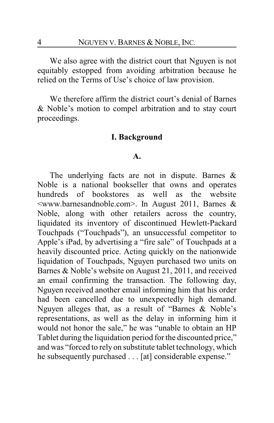We also agree with the district court that Nguyen is not equitably estopped from avoiding arbitration because he relied on the Terms of Use's choice of law provision.

We therefore affirm the district court's denial of Barnes & Noble's motion to compel arbitration and to stay court proceedings.

#### **I. Background**

#### **A.**

The underlying facts are not in dispute. Barnes & Noble is a national bookseller that owns and operates hundreds of bookstores as well as the website  $\leq$ www.barnesandnoble.com>. In August 2011, Barnes & Noble, along with other retailers across the country, liquidated its inventory of discontinued Hewlett-Packard Touchpads ("Touchpads"), an unsuccessful competitor to Apple's iPad, by advertising a "fire sale" of Touchpads at a heavily discounted price. Acting quickly on the nationwide liquidation of Touchpads, Nguyen purchased two units on Barnes & Noble's website on August 21, 2011, and received an email confirming the transaction. The following day, Nguyen received another email informing him that his order had been cancelled due to unexpectedly high demand. Nguyen alleges that, as a result of "Barnes & Noble's representations, as well as the delay in informing him it would not honor the sale," he was "unable to obtain an HP Tablet during the liquidation period for the discounted price," and was "forced to rely on substitute tablet technology, which he subsequently purchased . . . [at] considerable expense."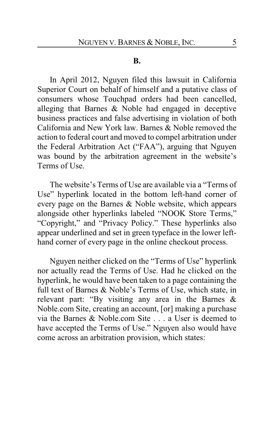#### **B.**

In April 2012, Nguyen filed this lawsuit in California Superior Court on behalf of himself and a putative class of consumers whose Touchpad orders had been cancelled, alleging that Barnes & Noble had engaged in deceptive business practices and false advertising in violation of both California and New York law. Barnes & Noble removed the action to federal court and moved to compel arbitration under the Federal Arbitration Act ("FAA"), arguing that Nguyen was bound by the arbitration agreement in the website's Terms of Use.

The website's Terms of Use are available via a "Terms of Use" hyperlink located in the bottom left-hand corner of every page on the Barnes & Noble website, which appears alongside other hyperlinks labeled "NOOK Store Terms," "Copyright," and "Privacy Policy." These hyperlinks also appear underlined and set in green typeface in the lower lefthand corner of every page in the online checkout process.

Nguyen neither clicked on the "Terms of Use" hyperlink nor actually read the Terms of Use. Had he clicked on the hyperlink, he would have been taken to a page containing the full text of Barnes & Noble's Terms of Use, which state, in relevant part: "By visiting any area in the Barnes & Noble.com Site, creating an account, [or] making a purchase via the Barnes & Noble.com Site . . . a User is deemed to have accepted the Terms of Use." Nguyen also would have come across an arbitration provision, which states: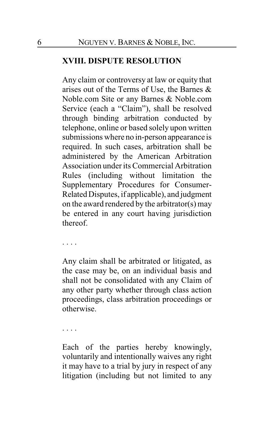# **XVIII. DISPUTE RESOLUTION**

Any claim or controversy at law or equity that arises out of the Terms of Use, the Barnes & Noble.com Site or any Barnes & Noble.com Service (each a "Claim"), shall be resolved through binding arbitration conducted by telephone, online or based solely upon written submissions where no in-person appearance is required. In such cases, arbitration shall be administered by the American Arbitration Association under its Commercial Arbitration Rules (including without limitation the Supplementary Procedures for Consumer-Related Disputes, if applicable), and judgment on the award rendered by the arbitrator(s) may be entered in any court having jurisdiction thereof.

. . . .

Any claim shall be arbitrated or litigated, as the case may be, on an individual basis and shall not be consolidated with any Claim of any other party whether through class action proceedings, class arbitration proceedings or otherwise.

. . . .

Each of the parties hereby knowingly, voluntarily and intentionally waives any right it may have to a trial by jury in respect of any litigation (including but not limited to any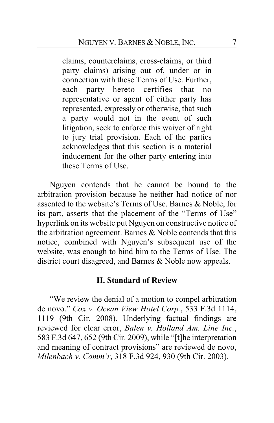claims, counterclaims, cross-claims, or third party claims) arising out of, under or in connection with these Terms of Use. Further, each party hereto certifies that no representative or agent of either party has represented, expressly or otherwise, that such a party would not in the event of such litigation, seek to enforce this waiver of right to jury trial provision. Each of the parties acknowledges that this section is a material inducement for the other party entering into these Terms of Use.

Nguyen contends that he cannot be bound to the arbitration provision because he neither had notice of nor assented to the website's Terms of Use. Barnes & Noble, for its part, asserts that the placement of the "Terms of Use" hyperlink on its website put Nguyen on constructive notice of the arbitration agreement. Barnes & Noble contends that this notice, combined with Nguyen's subsequent use of the website, was enough to bind him to the Terms of Use. The district court disagreed, and Barnes & Noble now appeals.

### **II. Standard of Review**

"We review the denial of a motion to compel arbitration de novo." *Cox v. Ocean View Hotel Corp.*, 533 F.3d 1114, 1119 (9th Cir. 2008). Underlying factual findings are reviewed for clear error, *Balen v. Holland Am. Line Inc.*, 583 F.3d 647, 652 (9th Cir. 2009), while "[t]he interpretation and meaning of contract provisions" are reviewed de novo, *Milenbach v. Comm'r*, 318 F.3d 924, 930 (9th Cir. 2003).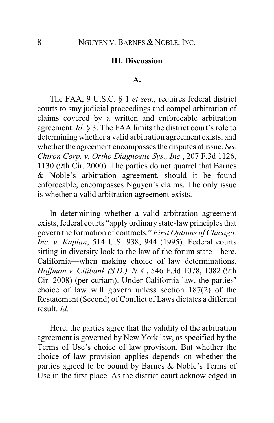#### **III. Discussion**

#### **A.**

The FAA, 9 U.S.C. § 1 *et seq.*, requires federal district courts to stay judicial proceedings and compel arbitration of claims covered by a written and enforceable arbitration agreement. *Id.* § 3. The FAA limits the district court's role to determining whether a valid arbitration agreement exists, and whether the agreement encompasses the disputes at issue. *See Chiron Corp. v. Ortho Diagnostic Sys., Inc.*, 207 F.3d 1126, 1130 (9th Cir. 2000). The parties do not quarrel that Barnes & Noble's arbitration agreement, should it be found enforceable, encompasses Nguyen's claims. The only issue is whether a valid arbitration agreement exists.

In determining whether a valid arbitration agreement exists, federal courts "apply ordinary state-law principles that govern the formation of contracts." *First Options of Chicago, Inc. v. Kaplan*, 514 U.S. 938, 944 (1995). Federal courts sitting in diversity look to the law of the forum state—here, California—when making choice of law determinations. *Hoffman v. Citibank (S.D.), N.A.*, 546 F.3d 1078, 1082 (9th Cir. 2008) (per curiam). Under California law, the parties' choice of law will govern unless section 187(2) of the Restatement (Second) of Conflict of Laws dictates a different result. *Id.*

Here, the parties agree that the validity of the arbitration agreement is governed by New York law, as specified by the Terms of Use's choice of law provision. But whether the choice of law provision applies depends on whether the parties agreed to be bound by Barnes & Noble's Terms of Use in the first place. As the district court acknowledged in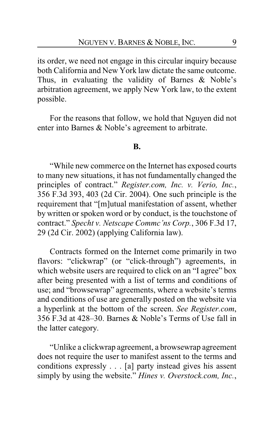its order, we need not engage in this circular inquiry because both California and New York law dictate the same outcome. Thus, in evaluating the validity of Barnes & Noble's arbitration agreement, we apply New York law, to the extent possible.

For the reasons that follow, we hold that Nguyen did not enter into Barnes & Noble's agreement to arbitrate.

### **B.**

"While new commerce on the Internet has exposed courts to many new situations, it has not fundamentally changed the principles of contract." *Register.com, Inc. v. Verio, Inc.*, 356 F.3d 393, 403 (2d Cir. 2004). One such principle is the requirement that "[m]utual manifestation of assent, whether by written or spoken word or by conduct, is the touchstone of contract." *Specht v. Netscape Commc'ns Corp.*, 306 F.3d 17, 29 (2d Cir. 2002) (applying California law).

Contracts formed on the Internet come primarily in two flavors: "clickwrap" (or "click-through") agreements, in which website users are required to click on an "I agree" box after being presented with a list of terms and conditions of use; and "browsewrap" agreements, where a website's terms and conditions of use are generally posted on the website via a hyperlink at the bottom of the screen. *See Register.com*, 356 F.3d at 428–30. Barnes & Noble's Terms of Use fall in the latter category.

"Unlike a clickwrap agreement, a browsewrap agreement does not require the user to manifest assent to the terms and conditions expressly . . . [a] party instead gives his assent simply by using the website." *Hines v. Overstock.com, Inc.*,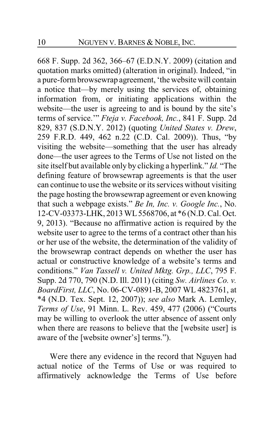668 F. Supp. 2d 362, 366–67 (E.D.N.Y. 2009) (citation and quotation marks omitted) (alteration in original). Indeed, "in a pure-form browsewrap agreement, 'the website will contain a notice that—by merely using the services of, obtaining information from, or initiating applications within the website—the user is agreeing to and is bound by the site's terms of service.'" *Fteja v. Facebook, Inc.*, 841 F. Supp. 2d 829, 837 (S.D.N.Y. 2012) (quoting *United States v. Drew*, 259 F.R.D. 449, 462 n.22 (C.D. Cal. 2009)). Thus, "by visiting the website—something that the user has already done—the user agrees to the Terms of Use not listed on the site itself but available only by clicking a hyperlink." *Id.* "The defining feature of browsewrap agreements is that the user can continue to use the website or its services without visiting the page hosting the browsewrap agreement or even knowing that such a webpage exists." *Be In, Inc. v. Google Inc.*, No. 12-CV-03373-LHK, 2013 WL5568706, at \*6 (N.D. Cal. Oct. 9, 2013). "Because no affirmative action is required by the website user to agree to the terms of a contract other than his or her use of the website, the determination of the validity of the browsewrap contract depends on whether the user has actual or constructive knowledge of a website's terms and conditions." *Van Tassell v. United Mktg. Grp., LLC*, 795 F. Supp. 2d 770, 790 (N.D. Ill. 2011) (citing *Sw. Airlines Co. v. BoardFirst, LLC*, No. 06-CV-0891-B, 2007 WL 4823761, at \*4 (N.D. Tex. Sept. 12, 2007)); *see also* Mark A. Lemley, *Terms of Use*, 91 Minn. L. Rev. 459, 477 (2006) ("Courts may be willing to overlook the utter absence of assent only when there are reasons to believe that the [website user] is aware of the [website owner's] terms.").

Were there any evidence in the record that Nguyen had actual notice of the Terms of Use or was required to affirmatively acknowledge the Terms of Use before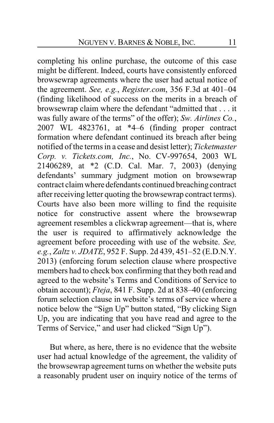completing his online purchase, the outcome of this case might be different. Indeed, courts have consistently enforced browsewrap agreements where the user had actual notice of the agreement. *See, e.g.*, *Register.com*, 356 F.3d at 401–04 (finding likelihood of success on the merits in a breach of browsewrap claim where the defendant "admitted that . . . it was fully aware of the terms" of the offer); *Sw. Airlines Co.*, 2007 WL 4823761, at \*4–6 (finding proper contract formation where defendant continued its breach after being notified of the terms in a cease and desist letter); *Ticketmaster Corp. v. Tickets.com, Inc.*, No. CV-997654, 2003 WL 21406289, at \*2 (C.D. Cal. Mar. 7, 2003) (denying defendants' summary judgment motion on browsewrap contract claimwhere defendants continued breachingcontract after receiving letter quoting the browsewrap contract terms). Courts have also been more willing to find the requisite notice for constructive assent where the browsewrap agreement resembles a clickwrap agreement—that is, where the user is required to affirmatively acknowledge the agreement before proceeding with use of the website. *See, e.g.*, *Zaltz v. JDATE*, 952 F. Supp. 2d 439, 451–52 (E.D.N.Y. 2013) (enforcing forum selection clause where prospective members had to check box confirming that they both read and agreed to the website's Terms and Conditions of Service to obtain account); *Fteja*, 841 F. Supp. 2d at 838–40 (enforcing forum selection clause in website's terms of service where a notice below the "Sign Up" button stated, "By clicking Sign Up, you are indicating that you have read and agree to the Terms of Service," and user had clicked "Sign Up").

But where, as here, there is no evidence that the website user had actual knowledge of the agreement, the validity of the browsewrap agreement turns on whether the website puts a reasonably prudent user on inquiry notice of the terms of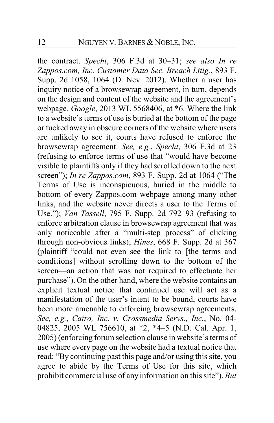the contract. *Specht*, 306 F.3d at 30–31; *see also In re Zappos.com, Inc. Customer Data Sec. Breach Litig.*, 893 F. Supp. 2d 1058, 1064 (D. Nev. 2012). Whether a user has inquiry notice of a browsewrap agreement, in turn, depends on the design and content of the website and the agreement's webpage. *Google*, 2013 WL 5568406, at \*6. Where the link to a website's terms of use is buried at the bottom of the page or tucked away in obscure corners of the website where users are unlikely to see it, courts have refused to enforce the browsewrap agreement. *See, e.g.*, *Specht*, 306 F.3d at 23 (refusing to enforce terms of use that "would have become visible to plaintiffs only if they had scrolled down to the next screen"); *In re Zappos.com*, 893 F. Supp. 2d at 1064 ("The Terms of Use is inconspicuous, buried in the middle to bottom of every Zappos.com webpage among many other links, and the website never directs a user to the Terms of Use."); *Van Tassell*, 795 F. Supp. 2d 792–93 (refusing to enforce arbitration clause in browsewrap agreement that was only noticeable after a "multi-step process" of clicking through non-obvious links); *Hines*, 668 F. Supp. 2d at 367 (plaintiff "could not even see the link to [the terms and conditions] without scrolling down to the bottom of the screen—an action that was not required to effectuate her purchase"). On the other hand, where the website contains an explicit textual notice that continued use will act as a manifestation of the user's intent to be bound, courts have been more amenable to enforcing browsewrap agreements. *See, e.g.*, *Cairo, Inc. v. Crossmedia Servs., Inc.*, No. 04- 04825, 2005 WL 756610, at \*2, \*4–5 (N.D. Cal. Apr. 1, 2005) (enforcing forum selection clause in website's terms of use where every page on the website had a textual notice that read: "By continuing past this page and/or using this site, you agree to abide by the Terms of Use for this site, which prohibit commercial use of any information on this site"). *But*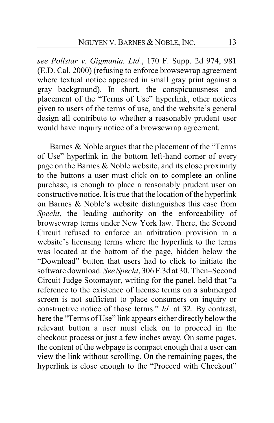*see Pollstar v. Gigmania, Ltd.*, 170 F. Supp. 2d 974, 981 (E.D. Cal. 2000) (refusing to enforce browsewrap agreement where textual notice appeared in small gray print against a gray background). In short, the conspicuousness and placement of the "Terms of Use" hyperlink, other notices given to users of the terms of use, and the website's general design all contribute to whether a reasonably prudent user would have inquiry notice of a browsewrap agreement.

Barnes & Noble argues that the placement of the "Terms of Use" hyperlink in the bottom left-hand corner of every page on the Barnes & Noble website, and its close proximity to the buttons a user must click on to complete an online purchase, is enough to place a reasonably prudent user on constructive notice. It is true that the location of the hyperlink on Barnes & Noble's website distinguishes this case from *Specht*, the leading authority on the enforceability of browsewrap terms under New York law. There, the Second Circuit refused to enforce an arbitration provision in a website's licensing terms where the hyperlink to the terms was located at the bottom of the page, hidden below the "Download" button that users had to click to initiate the software download. *See Specht*, 306 F.3d at 30. Then–Second Circuit Judge Sotomayor, writing for the panel, held that "a reference to the existence of license terms on a submerged screen is not sufficient to place consumers on inquiry or constructive notice of those terms." *Id.* at 32. By contrast, here the "Terms of Use" link appears either directly below the relevant button a user must click on to proceed in the checkout process or just a few inches away. On some pages, the content of the webpage is compact enough that a user can view the link without scrolling. On the remaining pages, the hyperlink is close enough to the "Proceed with Checkout"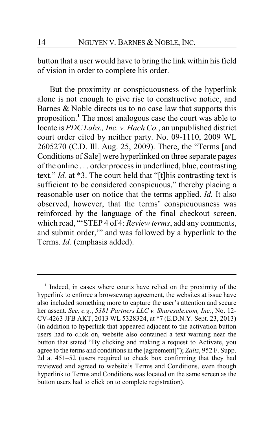button that a user would have to bring the link within his field of vision in order to complete his order.

But the proximity or conspicuousness of the hyperlink alone is not enough to give rise to constructive notice, and Barnes & Noble directs us to no case law that supports this proposition.**<sup>1</sup>** The most analogous case the court was able to locate is *PDC Labs., Inc. v. Hach Co.*, an unpublished district court order cited by neither party. No. 09-1110, 2009 WL 2605270 (C.D. Ill. Aug. 25, 2009). There, the "Terms [and Conditions of Sale] were hyperlinked on three separate pages of the online . . . order process in underlined, blue, contrasting text." *Id.* at \*3. The court held that "[t]his contrasting text is sufficient to be considered conspicuous," thereby placing a reasonable user on notice that the terms applied. *Id.* It also observed, however, that the terms' conspicuousness was reinforced by the language of the final checkout screen, which read, "'STEP 4 of 4: *Review terms*, add any comments, and submit order,'" and was followed by a hyperlink to the Terms. *Id.* (emphasis added).

**<sup>1</sup>** Indeed, in cases where courts have relied on the proximity of the hyperlink to enforce a browsewrap agreement, the websites at issue have also included something more to capture the user's attention and secure her assent. *See, e.g.*, *5381 Partners LLC v. Sharesale.com, Inc.*, No. 12- CV-4263 JFB AKT, 2013 WL 5328324, at \*7 (E.D.N.Y. Sept. 23, 2013) (in addition to hyperlink that appeared adjacent to the activation button users had to click on, website also contained a text warning near the button that stated "By clicking and making a request to Activate, you agree to the terms and conditions in the [agreement]"); *Zaltz*, 952 F. Supp. 2d at 451–52 (users required to check box confirming that they had reviewed and agreed to website's Terms and Conditions, even though hyperlink to Terms and Conditions was located on the same screen as the button users had to click on to complete registration).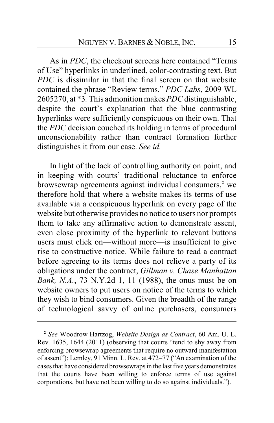As in *PDC*, the checkout screens here contained "Terms of Use" hyperlinks in underlined, color-contrasting text. But *PDC* is dissimilar in that the final screen on that website contained the phrase "Review terms." *PDC Labs*, 2009 WL 2605270, at \*3*.* This admonition makes *PDC* distinguishable, despite the court's explanation that the blue contrasting hyperlinks were sufficiently conspicuous on their own. That the *PDC* decision couched its holding in terms of procedural unconscionability rather than contract formation further distinguishes it from our case. *See id.*

In light of the lack of controlling authority on point, and in keeping with courts' traditional reluctance to enforce browsewrap agreements against individual consumers,**<sup>2</sup>** we therefore hold that where a website makes its terms of use available via a conspicuous hyperlink on every page of the website but otherwise provides no notice to users nor prompts them to take any affirmative action to demonstrate assent, even close proximity of the hyperlink to relevant buttons users must click on—without more—is insufficient to give rise to constructive notice. While failure to read a contract before agreeing to its terms does not relieve a party of its obligations under the contract, *Gillman v. Chase Manhattan Bank, N.A.*, 73 N.Y.2d 1, 11 (1988), the onus must be on website owners to put users on notice of the terms to which they wish to bind consumers. Given the breadth of the range of technological savvy of online purchasers, consumers

**<sup>2</sup>** *See* Woodrow Hartzog, *Website Design as Contract*, 60 Am. U. L. Rev. 1635, 1644 (2011) (observing that courts "tend to shy away from enforcing browsewrap agreements that require no outward manifestation of assent"); Lemley, 91 Minn. L. Rev. at 472–77 ("An examination of the cases that have considered browsewrapsin the last five years demonstrates that the courts have been willing to enforce terms of use against corporations, but have not been willing to do so against individuals.").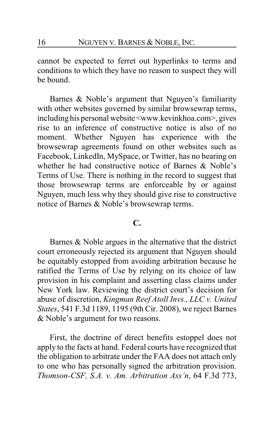cannot be expected to ferret out hyperlinks to terms and conditions to which they have no reason to suspect they will be bound.

Barnes & Noble's argument that Nguyen's familiarity with other websites governed by similar browsewrap terms, including his personal website<www.kevinkhoa.com>, gives rise to an inference of constructive notice is also of no moment. Whether Nguyen has experience with the browsewrap agreements found on other websites such as Facebook, LinkedIn, MySpace, or Twitter, has no bearing on whether he had constructive notice of Barnes & Noble's Terms of Use. There is nothing in the record to suggest that those browsewrap terms are enforceable by or against Nguyen, much less why they should give rise to constructive notice of Barnes & Noble's browsewrap terms.

# **C.**

Barnes & Noble argues in the alternative that the district court erroneously rejected its argument that Nguyen should be equitably estopped from avoiding arbitration because he ratified the Terms of Use by relying on its choice of law provision in his complaint and asserting class claims under New York law. Reviewing the district court's decision for abuse of discretion, *Kingman Reef Atoll Invs., LLC v. United States*, 541 F.3d 1189, 1195 (9th Cir. 2008), we reject Barnes & Noble's argument for two reasons.

First, the doctrine of direct benefits estoppel does not apply to the facts at hand. Federal courts have recognized that the obligation to arbitrate under the FAA does not attach only to one who has personally signed the arbitration provision. *Thomson-CSF, S.A. v. Am. Arbitration Ass'n*, 64 F.3d 773,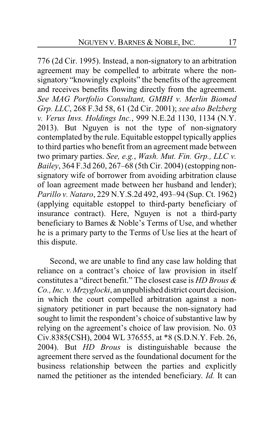776 (2d Cir. 1995). Instead, a non-signatory to an arbitration agreement may be compelled to arbitrate where the nonsignatory "knowingly exploits" the benefits of the agreement and receives benefits flowing directly from the agreement. *See MAG Portfolio Consultant, GMBH v. Merlin Biomed Grp. LLC*, 268 F.3d 58, 61 (2d Cir. 2001); *see also Belzberg v. Verus Invs. Holdings Inc.*, 999 N.E.2d 1130, 1134 (N.Y. 2013). But Nguyen is not the type of non-signatory contemplated by the rule. Equitable estoppel typically applies to third parties who benefit from an agreement made between two primary parties. *See, e.g.*, *Wash. Mut. Fin. Grp., LLC v. Bailey*, 364 F.3d 260, 267–68 (5th Cir. 2004) (estopping nonsignatory wife of borrower from avoiding arbitration clause of loan agreement made between her husband and lender); *Parillo v. Nataro*, 229 N.Y.S.2d 492, 493–94 (Sup. Ct. 1962) (applying equitable estoppel to third-party beneficiary of insurance contract). Here, Nguyen is not a third-party beneficiary to Barnes & Noble's Terms of Use, and whether he is a primary party to the Terms of Use lies at the heart of this dispute.

Second, we are unable to find any case law holding that reliance on a contract's choice of law provision in itself constitutes a "direct benefit." The closest case is *HD Brous & Co., Inc. v. Mrzyglocki*, an unpublished district court decision, in which the court compelled arbitration against a nonsignatory petitioner in part because the non-signatory had sought to limit the respondent's choice of substantive law by relying on the agreement's choice of law provision. No. 03 Civ.8385(CSH), 2004 WL 376555, at \*8 (S.D.N.Y. Feb. 26, 2004). But *HD Brous* is distinguishable because the agreement there served as the foundational document for the business relationship between the parties and explicitly named the petitioner as the intended beneficiary. *Id.* It can